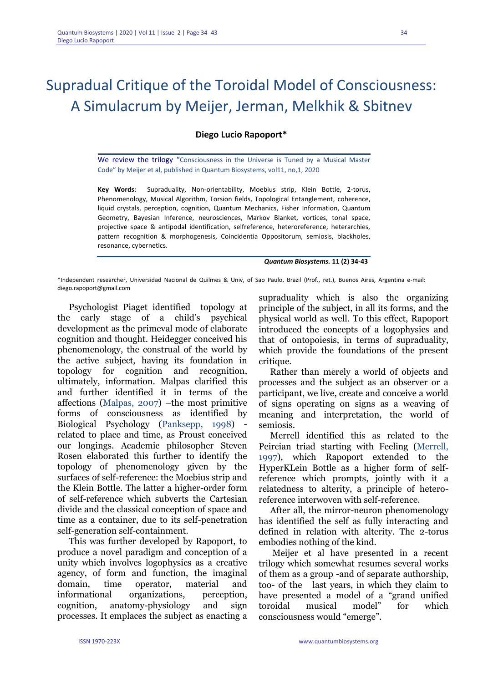# Supradual Critique of the Toroidal Model of Consciousness: A Simulacrum by Meijer, Jerman, Melkhik & Sbitnev

### **Diego Lucio Rapoport\***

We review the trilogy "Consciousness in the Universe is Tuned by a Musical Master Code" by Meijer et al, published in Quantum Biosystems, vol11, no,1, 2020

**Key Words**: Supraduality, Non-orientability, Moebius strip, Klein Bottle, 2-torus, Phenomenology, Musical Algorithm, Torsion fields, Topological Entanglement, coherence, liquid crystals, perception, cognition, Quantum Mechanics, Fisher Information, Quantum Geometry, Bayesian Inference, neurosciences, Markov Blanket, vortices, tonal space, projective space & antipodal identification, selfreference, heteroreference, heterarchies, pattern recognition & morphogenesis, Coincidentia Oppositorum, semiosis, blackholes, resonance, cybernetics.

#### *Quantum Biosystems.* **11 (2) 34-43**

\*Independent researcher, Universidad Nacional de Quilmes & Univ, of Sao Paulo, Brazil (Prof., ret.), Buenos Aires, Argentina e-mail: diego.rapoport@gmail.com

Psychologist Piaget identified topology at the early stage of a child's psychical development as the primeval mode of elaborate cognition and thought. Heidegger conceived his phenomenology, the construal of the world by the active subject, having its foundation in topology for cognition and recognition, ultimately, information. Malpas clarified this and further identified it in terms of the affections (Malpas, 2007) –the most primitive forms of consciousness as identified by Biological Psychology (Panksepp, 1998) related to place and time, as Proust conceived our longings. Academic philosopher Steven Rosen elaborated this further to identify the topology of phenomenology given by the surfaces of self-reference: the Moebius strip and the Klein Bottle. The latter a higher-order form of self-reference which subverts the Cartesian divide and the classical conception of space and time as a container, due to its self-penetration self-generation self-containment.

This was further developed by Rapoport, to produce a novel paradigm and conception of a unity which involves logophysics as a creative agency, of form and function, the imaginal domain, time operator, material and informational organizations, perception, cognition, anatomy-physiology and sign processes. It emplaces the subject as enacting a supraduality which is also the organizing principle of the subject, in all its forms, and the physical world as well. To this effect, Rapoport introduced the concepts of a logophysics and that of ontopoiesis, in terms of supraduality, which provide the foundations of the present critique.

Rather than merely a world of objects and processes and the subject as an observer or a participant, we live, create and conceive a world of signs operating on signs as a weaving of meaning and interpretation, the world of semiosis.

Merrell identified this as related to the Peircian triad starting with Feeling (Merrell, 1997), which Rapoport extended to the HyperKLein Bottle as a higher form of selfreference which prompts, jointly with it a relatedness to alterity, a principle of heteroreference interwoven with self-reference.

After all, the mirror-neuron phenomenology has identified the self as fully interacting and defined in relation with alterity. The 2-torus embodies nothing of the kind.

Meijer et al have presented in a recent trilogy which somewhat resumes several works of them as a group -and of separate authorship, too- of the last years, in which they claim to have presented a model of a "grand unified toroidal musical model" for which consciousness would "emerge".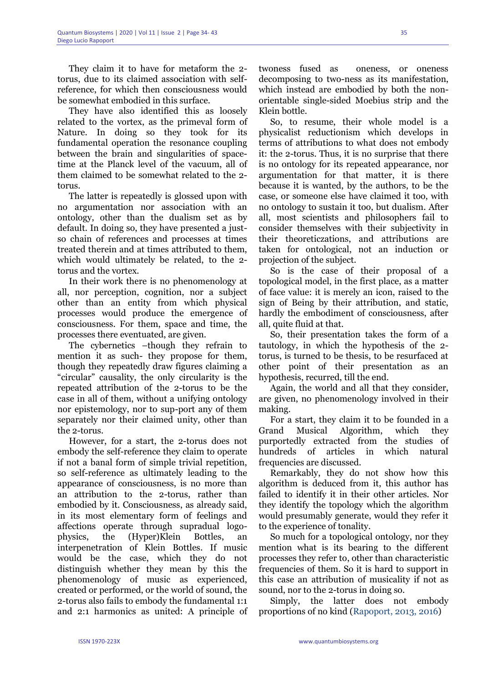They claim it to have for metaform the 2 torus, due to its claimed association with selfreference, for which then consciousness would be somewhat embodied in this surface.

They have also identified this as loosely related to the vortex, as the primeval form of Nature. In doing so they took for its fundamental operation the resonance coupling between the brain and singularities of spacetime at the Planck level of the vacuum, all of them claimed to be somewhat related to the 2 torus.

The latter is repeatedly is glossed upon with no argumentation nor association with an ontology, other than the dualism set as by default. In doing so, they have presented a justso chain of references and processes at times treated therein and at times attributed to them, which would ultimately be related, to the 2 torus and the vortex.

In their work there is no phenomenology at all, nor perception, cognition, nor a subject other than an entity from which physical processes would produce the emergence of consciousness. For them, space and time, the processes there eventuated, are given.

The cybernetics –though they refrain to mention it as such- they propose for them, though they repeatedly draw figures claiming a "circular" causality, the only circularity is the repeated attribution of the 2-torus to be the case in all of them, without a unifying ontology nor epistemology, nor to sup-port any of them separately nor their claimed unity, other than the 2-torus.

However, for a start, the 2-torus does not embody the self-reference they claim to operate if not a banal form of simple trivial repetition, so self-reference as ultimately leading to the appearance of consciousness, is no more than an attribution to the 2-torus, rather than embodied by it. Consciousness, as already said, in its most elementary form of feelings and affections operate through supradual logophysics, the (Hyper)Klein Bottles, an interpenetration of Klein Bottles. If music would be the case, which they do not distinguish whether they mean by this the phenomenology of music as experienced, created or performed, or the world of sound, the 2-torus also fails to embody the fundamental 1:1 and 2:1 harmonics as united: A principle of twoness fused as oneness, or oneness decomposing to two-ness as its manifestation, which instead are embodied by both the nonorientable single-sided Moebius strip and the Klein bottle.

So, to resume, their whole model is a physicalist reductionism which develops in terms of attributions to what does not embody it: the 2-torus. Thus, it is no surprise that there is no ontology for its repeated appearance, nor argumentation for that matter, it is there because it is wanted, by the authors, to be the case, or someone else have claimed it too, with no ontology to sustain it too, but dualism. After all, most scientists and philosophers fail to consider themselves with their subjectivity in their theoreticzations, and attributions are taken for ontological, not an induction or projection of the subject.

So is the case of their proposal of a topological model, in the first place, as a matter of face value: it is merely an icon, raised to the sign of Being by their attribution, and static, hardly the embodiment of consciousness, after all, quite fluid at that.

So, their presentation takes the form of a tautology, in which the hypothesis of the 2 torus, is turned to be thesis, to be resurfaced at other point of their presentation as an hypothesis, recurred, till the end.

Again, the world and all that they consider, are given, no phenomenology involved in their making.

For a start, they claim it to be founded in a Grand Musical Algorithm, which they purportedly extracted from the studies of hundreds of articles in which natural frequencies are discussed.

Remarkably, they do not show how this algorithm is deduced from it, this author has failed to identify it in their other articles. Nor they identify the topology which the algorithm would presumably generate, would they refer it to the experience of tonality.

So much for a topological ontology, nor they mention what is its bearing to the different processes they refer to, other than characteristic frequencies of them. So it is hard to support in this case an attribution of musicality if not as sound, nor to the 2-torus in doing so.

Simply, the latter does not embody proportions of no kind (Rapoport, 2013, 2016)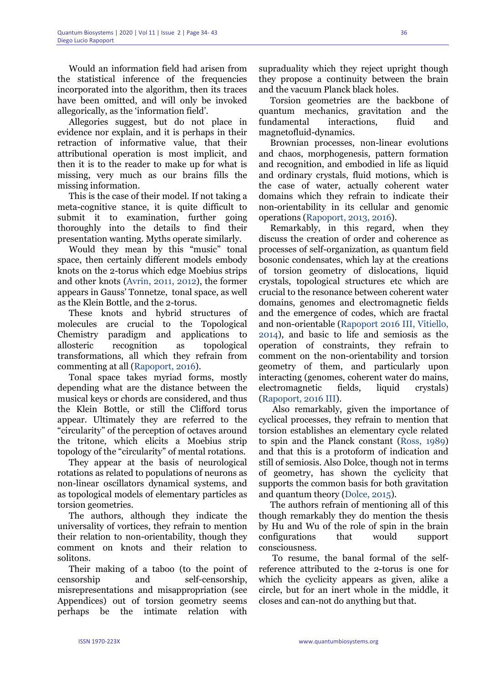Would an information field had arisen from the statistical inference of the frequencies incorporated into the algorithm, then its traces have been omitted, and will only be invoked allegorically, as the 'information field'.

Allegories suggest, but do not place in evidence nor explain, and it is perhaps in their retraction of informative value, that their attributional operation is most implicit, and then it is to the reader to make up for what is missing, very much as our brains fills the missing information.

This is the case of their model. If not taking a meta-cognitive stance, it is quite difficult to submit it to examination, further going thoroughly into the details to find their presentation wanting. Myths operate similarly.

Would they mean by this "music" tonal space, then certainly different models embody knots on the 2-torus which edge Moebius strips and other knots (Avrin, 2011, 2012), the former appears in Gauss' Tonnetze, tonal space, as well as the Klein Bottle, and the 2-torus.

These knots and hybrid structures of molecules are crucial to the Topological Chemistry paradigm and applications to allosteric recognition as topological transformations, all which they refrain from commenting at all (Rapoport, 2016).

Tonal space takes myriad forms, mostly depending what are the distance between the musical keys or chords are considered, and thus the Klein Bottle, or still the Clifford torus appear. Ultimately they are referred to the "circularity" of the perception of octaves around the tritone, which elicits a Moebius strip topology of the "circularity" of mental rotations.

They appear at the basis of neurological rotations as related to populations of neurons as non-linear oscillators dynamical systems, and as topological models of elementary particles as torsion geometries.

The authors, although they indicate the universality of vortices, they refrain to mention their relation to non-orientability, though they comment on knots and their relation to solitons.

Their making of a taboo (to the point of censorship and self-censorship, misrepresentations and misappropriation (see Appendices) out of torsion geometry seems perhaps be the intimate relation with

supraduality which they reject upright though they propose a continuity between the brain and the vacuum Planck black holes.

Torsion geometries are the backbone of quantum mechanics, gravitation and the fundamental interactions, fluid and magnetofluid-dynamics.

Brownian processes, non-linear evolutions and chaos, morphogenesis, pattern formation and recognition, and embodied in life as liquid and ordinary crystals, fluid motions, which is the case of water, actually coherent water domains which they refrain to indicate their non-orientability in its cellular and genomic operations (Rapoport, 2013, 2016).

Remarkably, in this regard, when they discuss the creation of order and coherence as processes of self-organization, as quantum field bosonic condensates, which lay at the creations of torsion geometry of dislocations, liquid crystals, topological structures etc which are crucial to the resonance between coherent water domains, genomes and electromagnetic fields and the emergence of codes, which are fractal and non-orientable (Rapoport 2016 III, Vitiello, 2014), and basic to life and semiosis as the operation of constraints, they refrain to comment on the non-orientability and torsion geometry of them, and particularly upon interacting (genomes, coherent water do mains, electromagnetic fields, liquid crystals) (Rapoport, 2016 III).

Also remarkably, given the importance of cyclical processes, they refrain to mention that torsion establishes an elementary cycle related to spin and the Planck constant (Ross, 1989) and that this is a protoform of indication and still of semiosis. Also Dolce, though not in terms of geometry, has shown the cyclicity that supports the common basis for both gravitation and quantum theory (Dolce, 2015).

The authors refrain of mentioning all of this though remarkably they do mention the thesis by Hu and Wu of the role of spin in the brain configurations that would support consciousness.

To resume, the banal formal of the selfreference attributed to the 2-torus is one for which the cyclicity appears as given, alike a circle, but for an inert whole in the middle, it closes and can-not do anything but that.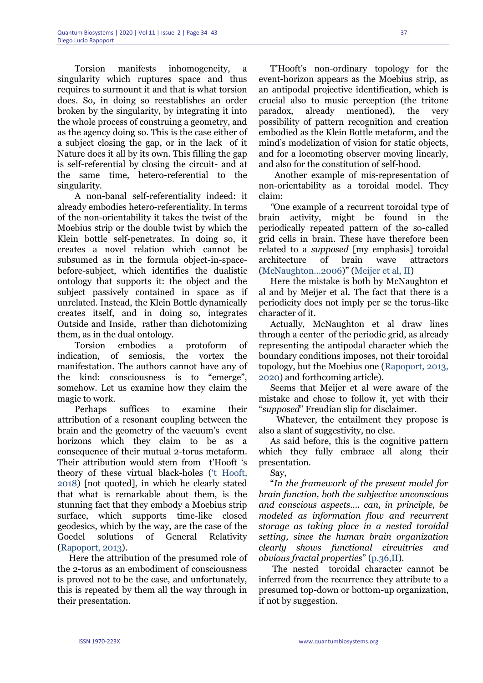Torsion manifests inhomogeneity, a singularity which ruptures space and thus requires to surmount it and that is what torsion does. So, in doing so reestablishes an order broken by the singularity, by integrating it into the whole process of construing a geometry, and as the agency doing so. This is the case either of a subject closing the gap, or in the lack of it Nature does it all by its own. This filling the gap is self-referential by closing the circuit- and at the same time, hetero-referential to the singularity.

A non-banal self-referentiality indeed: it already embodies hetero-referentiality. In terms of the non-orientability it takes the twist of the Moebius strip or the double twist by which the Klein bottle self-penetrates. In doing so, it creates a novel relation which cannot be subsumed as in the formula object-in-spacebefore-subject, which identifies the dualistic ontology that supports it: the object and the subject passively contained in space as if unrelated. Instead, the Klein Bottle dynamically creates itself, and in doing so, integrates Outside and Inside, rather than dichotomizing them, as in the dual ontology.

Torsion embodies a protoform of indication, of semiosis, the vortex the manifestation. The authors cannot have any of the kind: consciousness is to "emerge", somehow. Let us examine how they claim the magic to work.

Perhaps suffices to examine their attribution of a resonant coupling between the brain and the geometry of the vacuum's event horizons which they claim to be as a consequence of their mutual 2-torus metaform. Their attribution would stem from t'Hooft 's theory of these virtual black-holes ('t Hooft, 2018) [not quoted], in which he clearly stated that what is remarkable about them, is the stunning fact that they embody a Moebius strip surface, which supports time-like closed geodesics, which by the way, are the case of the Goedel solutions of General Relativity (Rapoport, 2013).

Here the attribution of the presumed role of the 2-torus as an embodiment of consciousness is proved not to be the case, and unfortunately, this is repeated by them all the way through in their presentation.

T'Hooft's non-ordinary topology for the event-horizon appears as the Moebius strip, as an antipodal projective identification, which is crucial also to music perception (the tritone paradox, already mentioned), the very possibility of pattern recognition and creation embodied as the Klein Bottle metaform, and the mind's modelization of vision for static objects, and for a locomoting observer moving linearly, and also for the constitution of self-hood.

 Another example of mis-representation of non-orientability as a toroidal model. They claim:

*"*One example of a recurrent toroidal type of brain activity, might be found in the periodically repeated pattern of the so-called grid cells in brain. These have therefore been related to a *supposed* [my emphasis] toroidal architecture of brain wave attractors (McNaughton…2006)" (Meijer et al, II)

Here the mistake is both by McNaughton et al and by Meijer et al. The fact that there is a periodicity does not imply per se the torus-like character of it.

Actually, McNaughton et al draw lines through a center of the periodic grid, as already representing the antipodal character which the boundary conditions imposes, not their toroidal topology, but the Moebius one (Rapoport, 2013, 2020) and forthcoming article).

Seems that Meijer et al were aware of the mistake and chose to follow it, yet with their "*supposed*" Freudian slip for disclaimer.

 Whatever, the entailment they propose is also a slant of suggestivity, no else.

As said before, this is the cognitive pattern which they fully embrace all along their presentation.

Say,

"*In the framework of the present model for brain function, both the subjective unconscious and conscious aspects…. can, in principle, be modeled as information flow and recurrent storage as taking place in a nested toroidal setting, since the human brain organization clearly shows functional circuitries and obvious fractal properties*" (p.36,II).

The nested toroidal character cannot be inferred from the recurrence they attribute to a presumed top-down or bottom-up organization, if not by suggestion.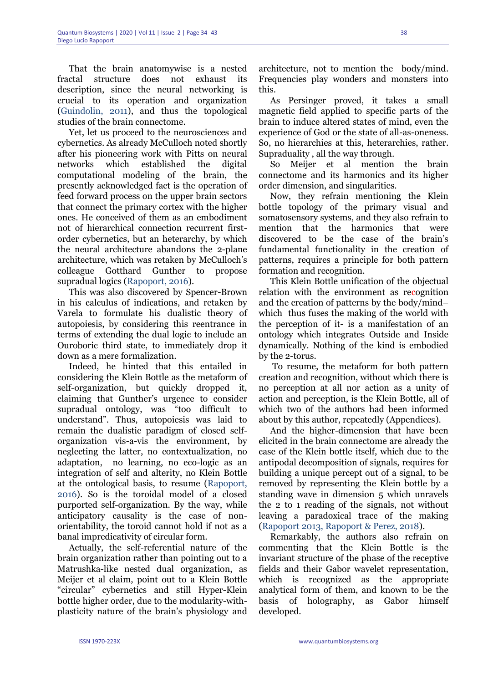That the brain anatomywise is a nested fractal structure does not exhaust its description, since the neural networking is crucial to its operation and organization (Guindolin, 2011), and thus the topological studies of the brain connectome.

Yet, let us proceed to the neurosciences and cybernetics. As already McCulloch noted shortly after his pioneering work with Pitts on neural networks which established the digital computational modeling of the brain, the presently acknowledged fact is the operation of feed forward process on the upper brain sectors that connect the primary cortex with the higher ones. He conceived of them as an embodiment not of hierarchical connection recurrent firstorder cybernetics, but an heterarchy, by which the neural architecture abandons the 2-plane architecture, which was retaken by McCulloch's colleague Gotthard Gunther to propose supradual logics (Rapoport, 2016).

This was also discovered by Spencer-Brown in his calculus of indications, and retaken by Varela to formulate his dualistic theory of autopoiesis, by considering this reentrance in terms of extending the dual logic to include an Ouroboric third state, to immediately drop it down as a mere formalization.

Indeed, he hinted that this entailed in considering the Klein Bottle as the metaform of self-organization, but quickly dropped it, claiming that Gunther's urgence to consider supradual ontology, was "too difficult to understand". Thus, autopoiesis was laid to remain the dualistic paradigm of closed selforganization vis-a-vis the environment, by neglecting the latter, no contextualization, no adaptation, no learning, no eco-logic as an integration of self and alterity, no Klein Bottle at the ontological basis, to resume (Rapoport, 2016). So is the toroidal model of a closed purported self-organization. By the way, while anticipatory causality is the case of nonorientability, the toroid cannot hold if not as a banal impredicativity of circular form.

Actually, the self-referential nature of the brain organization rather than pointing out to a Matrushka-like nested dual organization, as Meijer et al claim, point out to a Klein Bottle "circular" cybernetics and still Hyper-Klein bottle higher order, due to the modularity-withplasticity nature of the brain's physiology and

architecture, not to mention the body/mind. Frequencies play wonders and monsters into this.

As Persinger proved, it takes a small magnetic field applied to specific parts of the brain to induce altered states of mind, even the experience of God or the state of all-as-oneness. So, no hierarchies at this, heterarchies, rather. Supraduality , all the way through.

So Meijer et al mention the brain connectome and its harmonics and its higher order dimension, and singularities.

Now, they refrain mentioning the Klein bottle topology of the primary visual and somatosensory systems, and they also refrain to mention that the harmonics that were discovered to be the case of the brain's fundamental functionality in the creation of patterns, requires a principle for both pattern formation and recognition.

This Klein Bottle unification of the objectual relation with the environment as recognition and the creation of patterns by the body/mind– which thus fuses the making of the world with the perception of it- is a manifestation of an ontology which integrates Outside and Inside dynamically. Nothing of the kind is embodied by the 2-torus.

To resume, the metaform for both pattern creation and recognition, without which there is no perception at all nor action as a unity of action and perception, is the Klein Bottle, all of which two of the authors had been informed about by this author, repeatedly (Appendices).

And the higher-dimension that have been elicited in the brain connectome are already the case of the Klein bottle itself, which due to the antipodal decomposition of signals, requires for building a unique percept out of a signal, to be removed by representing the Klein bottle by a standing wave in dimension 5 which unravels the 2 to 1 reading of the signals, not without leaving a paradoxical trace of the making (Rapoport 2013, Rapoport & Perez, 2018).

Remarkably, the authors also refrain on commenting that the Klein Bottle is the invariant structure of the phase of the receptive fields and their Gabor wavelet representation, which is recognized as the appropriate analytical form of them, and known to be the basis of holography, as Gabor himself developed.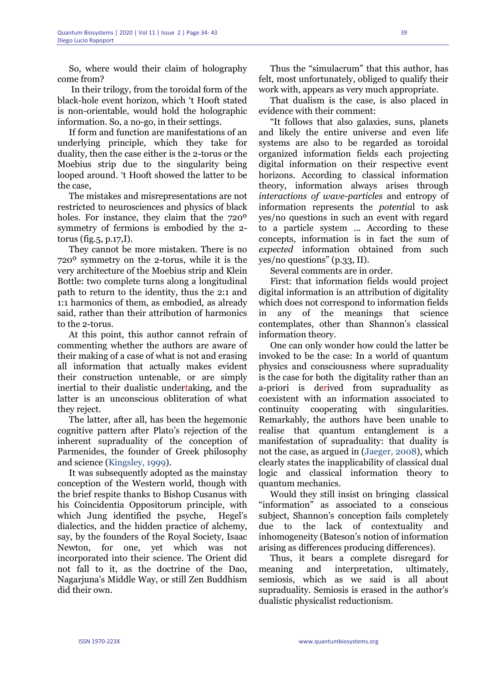So, where would their claim of holography come from?

In their trilogy, from the toroidal form of the black-hole event horizon, which 't Hooft stated is non-orientable, would hold the holographic information. So, a no-go, in their settings.

If form and function are manifestations of an underlying principle, which they take for duality, then the case either is the 2-torus or the Moebius strip due to the singularity being looped around. 't Hooft showed the latter to be the case,

The mistakes and misrepresentations are not restricted to neurosciences and physics of black holes. For instance, they claim that the 720º symmetry of fermions is embodied by the 2 torus (fig.  $5$ , p.  $17$ , I).

They cannot be more mistaken. There is no 720º symmetry on the 2-torus, while it is the very architecture of the Moebius strip and Klein Bottle: two complete turns along a longitudinal path to return to the identity, thus the 2:1 and 1:1 harmonics of them, as embodied, as already said, rather than their attribution of harmonics to the 2-torus.

At this point, this author cannot refrain of commenting whether the authors are aware of their making of a case of what is not and erasing all information that actually makes evident their construction untenable, or are simply inertial to their dualistic undertaking, and the latter is an unconscious obliteration of what they reject.

The latter, after all, has been the hegemonic cognitive pattern after Plato's rejection of the inherent supraduality of the conception of Parmenides, the founder of Greek philosophy and science (Kingsley, 1999).

It was subsequently adopted as the mainstay conception of the Western world, though with the brief respite thanks to Bishop Cusanus with his Coincidentia Oppositorum principle, with which Jung identified the psyche, Hegel's dialectics, and the hidden practice of alchemy, say, by the founders of the Royal Society, Isaac Newton, for one, yet which was not incorporated into their science. The Orient did not fall to it, as the doctrine of the Dao, Nagarjuna's Middle Way, or still Zen Buddhism did their own.

Thus the "simulacrum" that this author, has felt, most unfortunately, obliged to qualify their work with, appears as very much appropriate.

That dualism is the case, is also placed in evidence with their comment:

"It follows that also galaxies, suns, planets and likely the entire universe and even life systems are also to be regarded as toroidal organized information fields each projecting digital information on their respective event horizons. According to classical information theory, information always arises through *interactions of wave-particles* and entropy of information represents the *potentia*l to ask yes/no questions in such an event with regard to a particle system ... According to these concepts, information is in fact the sum of *expected* information obtained from such yes/no questions" (p.33, II).

Several comments are in order.

First: that information fields would project digital information is an attribution of digitality which does not correspond to information fields in any of the meanings that science contemplates, other than Shannon's classical information theory.

One can only wonder how could the latter be invoked to be the case: In a world of quantum physics and consciousness where supraduality is the case for both the digitality rather than an a-priori is derived from supraduality as coexistent with an information associated to continuity cooperating with singularities. Remarkably, the authors have been unable to realise that quantum entanglement is a manifestation of supraduality: that duality is not the case, as argued in (Jaeger, 2008), which clearly states the inapplicability of classical dual logic and classical information theory to quantum mechanics.

Would they still insist on bringing classical "information" as associated to a conscious subject, Shannon's conception fails completely due to the lack of contextuality and inhomogeneity (Bateson's notion of information arising as differences producing differences).

Thus, it bears a complete disregard for meaning and interpretation, ultimately, semiosis, which as we said is all about supraduality. Semiosis is erased in the author's dualistic physicalist reductionism.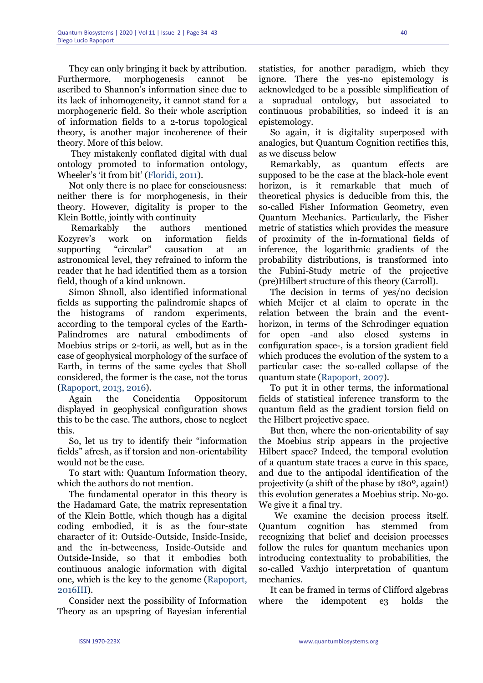They can only bringing it back by attribution. Furthermore, morphogenesis cannot be ascribed to Shannon's information since due to its lack of inhomogeneity, it cannot stand for a morphogeneric field. So their whole ascription of information fields to a 2-torus topological theory, is another major incoherence of their theory. More of this below.

They mistakenly conflated digital with dual ontology promoted to information ontology, Wheeler's 'it from bit' (Floridi, 2011).

Not only there is no place for consciousness: neither there is for morphogenesis, in their theory. However, digitality is proper to the Klein Bottle, jointly with continuity

Remarkably the authors mentioned Kozyrev's work on information fields supporting "circular" causation at an astronomical level, they refrained to inform the reader that he had identified them as a torsion field, though of a kind unknown.

Simon Shnoll, also identified informational fields as supporting the palindromic shapes of the histograms of random experiments, according to the temporal cycles of the Earth-Palindromes are natural embodiments of Moebius strips or 2-torii, as well, but as in the case of geophysical morphology of the surface of Earth, in terms of the same cycles that Sholl considered, the former is the case, not the torus (Rapoport, 2013, 2016).

Again the Concidentia Oppositorum displayed in geophysical configuration shows this to be the case. The authors, chose to neglect this.

So, let us try to identify their "information fields" afresh, as if torsion and non-orientability would not be the case.

To start with: Quantum Information theory, which the authors do not mention.

The fundamental operator in this theory is the Hadamard Gate, the matrix representation of the Klein Bottle, which though has a digital coding embodied, it is as the four-state character of it: Outside-Outside, Inside-Inside, and the in-betweeness, Inside-Outside and Outside-Inside, so that it embodies both continuous analogic information with digital one, which is the key to the genome (Rapoport, 2016III).

Consider next the possibility of Information Theory as an upspring of Bayesian inferential statistics, for another paradigm, which they ignore. There the yes-no epistemology is acknowledged to be a possible simplification of a supradual ontology, but associated to continuous probabilities, so indeed it is an epistemology.

So again, it is digitality superposed with analogics, but Quantum Cognition rectifies this, as we discuss below

Remarkably, as quantum effects are supposed to be the case at the black-hole event horizon, is it remarkable that much of theoretical physics is deducible from this, the so-called Fisher Information Geometry, even Quantum Mechanics. Particularly, the Fisher metric of statistics which provides the measure of proximity of the in-formational fields of inference, the logarithmic gradients of the probability distributions, is transformed into the Fubini-Study metric of the projective (pre)Hilbert structure of this theory (Carroll).

The decision in terms of yes/no decision which Meijer et al claim to operate in the relation between the brain and the eventhorizon, in terms of the Schrodinger equation for open -and also closed systems in configuration space-, is a torsion gradient field which produces the evolution of the system to a particular case: the so-called collapse of the quantum state (Rapoport, 2007).

To put it in other terms, the informational fields of statistical inference transform to the quantum field as the gradient torsion field on the Hilbert projective space.

But then, where the non-orientability of say the Moebius strip appears in the projective Hilbert space? Indeed, the temporal evolution of a quantum state traces a curve in this space, and due to the antipodal identification of the projectivity (a shift of the phase by 180º, again!) this evolution generates a Moebius strip. No-go. We give it a final try.

 We examine the decision process itself. Quantum cognition has stemmed from recognizing that belief and decision processes follow the rules for quantum mechanics upon introducing contextuality to probabilities, the so-called Vaxhjo interpretation of quantum mechanics.

It can be framed in terms of Clifford algebras where the idempotent e3 holds the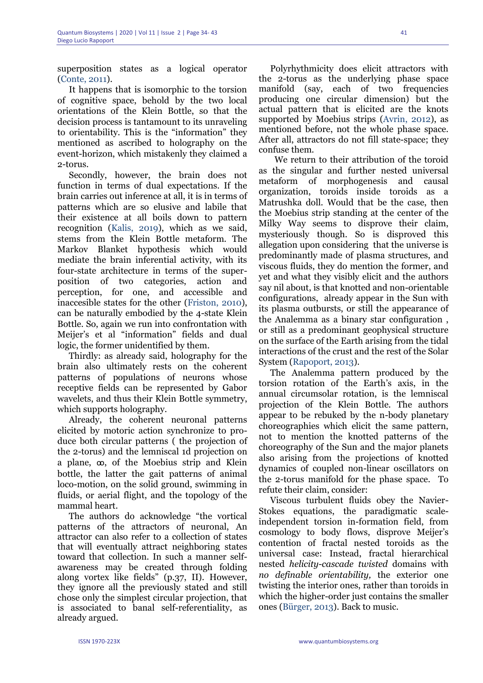superposition states as a logical operator (Conte, 2011).

It happens that is isomorphic to the torsion of cognitive space, behold by the two local orientations of the Klein Bottle, so that the decision process is tantamount to its unraveling to orientability. This is the "information" they mentioned as ascribed to holography on the event-horizon, which mistakenly they claimed a 2-torus.

Secondly, however, the brain does not function in terms of dual expectations. If the brain carries out inference at all, it is in terms of patterns which are so elusive and labile that their existence at all boils down to pattern recognition (Kalis, 2019), which as we said, stems from the Klein Bottle metaform. The Markov Blanket hypothesis which would mediate the brain inferential activity, with its four-state architecture in terms of the superposition of two categories, action and perception, for one, and accessible and inaccesible states for the other (Friston, 2010), can be naturally embodied by the 4-state Klein Bottle. So, again we run into confrontation with Meijer's et al "information" fields and dual logic, the former unidentified by them.

Thirdly: as already said, holography for the brain also ultimately rests on the coherent patterns of populations of neurons whose receptive fields can be represented by Gabor wavelets, and thus their Klein Bottle symmetry, which supports holography.

Already, the coherent neuronal patterns elicited by motoric action synchronize to produce both circular patterns ( the projection of the 2-torus) and the lemniscal 1d projection on a plane,  $\infty$ , of the Moebius strip and Klein bottle, the latter the gait patterns of animal loco-motion, on the solid ground, swimming in fluids, or aerial flight, and the topology of the mammal heart.

The authors do acknowledge "the vortical patterns of the attractors of neuronal, An attractor can also refer to a collection of states that will eventually attract neighboring states toward that collection. In such a manner selfawareness may be created through folding along vortex like fields" (p.37, II). However, they ignore all the previously stated and still chose only the simplest circular projection, that is associated to banal self-referentiality, as already argued.

Polyrhythmicity does elicit attractors with the 2-torus as the underlying phase space manifold (say, each of two frequencies producing one circular dimension) but the actual pattern that is elicited are the knots supported by Moebius strips (Avrin, 2012), as mentioned before, not the whole phase space. After all, attractors do not fill state-space; they confuse them.

 We return to their attribution of the toroid as the singular and further nested universal metaform of morphogenesis and causal organization, toroids inside toroids as a Matrushka doll. Would that be the case, then the Moebius strip standing at the center of the Milky Way seems to disprove their claim, mysteriously though. So is disproved this allegation upon considering that the universe is predominantly made of plasma structures, and viscous fluids, they do mention the former, and yet and what they visibly elicit and the authors say nil about, is that knotted and non-orientable configurations, already appear in the Sun with its plasma outbursts, or still the appearance of the Analemma as a binary star configuration , or still as a predominant geophysical structure on the surface of the Earth arising from the tidal interactions of the crust and the rest of the Solar System (Rapoport, 2013).

The Analemma pattern produced by the torsion rotation of the Earth's axis, in the annual circumsolar rotation, is the lemniscal projection of the Klein Bottle. The authors appear to be rebuked by the n-body planetary choreographies which elicit the same pattern, not to mention the knotted patterns of the choreography of the Sun and the major planets also arising from the projections of knotted dynamics of coupled non-linear oscillators on the 2-torus manifold for the phase space. To refute their claim, consider:

Viscous turbulent fluids obey the Navier-Stokes equations, the paradigmatic scaleindependent torsion in-formation field, from cosmology to body flows, disprove Meijer's contention of fractal nested toroids as the universal case: Instead, fractal hierarchical nested *helicity-cascade twisted* domains with *no definable orientability,* the exterior one twisting the interior ones, rather than toroids in which the higher-order just contains the smaller ones (Bürger, 2013). Back to music.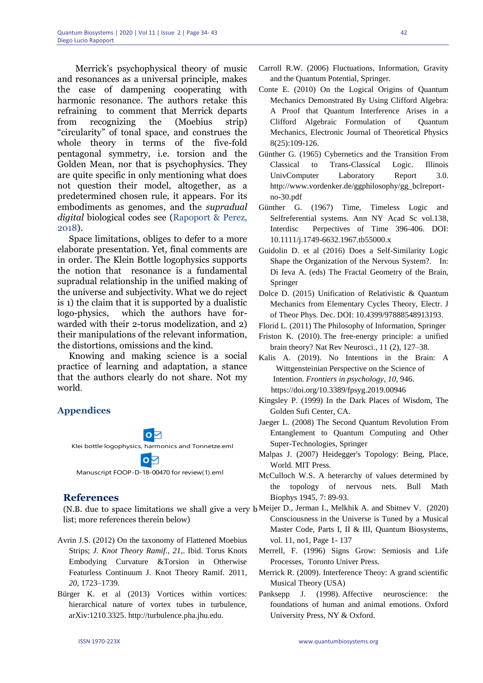Merrick's psychophysical theory of music and resonances as a universal principle, makes the case of dampening cooperating with harmonic resonance. The authors retake this refraining to comment that Merrick departs from recognizing the (Moebius strip) "circularity" of tonal space, and construes the whole theory in terms of the five-fold pentagonal symmetry, i.e. torsion and the Golden Mean, nor that is psychophysics. They are quite specific in only mentioning what does not question their model, altogether, as a predetermined chosen rule, it appears. For its embodiments as genomes, and the *supradual digital* biological codes see (Rapoport & Perez, 2018).

Space limitations, obliges to defer to a more elaborate presentation. Yet, final comments are in order. The Klein Bottle logophysics supports the notion that resonance is a fundamental supradual relationship in the unified making of the universe and subjectivity. What we do reject is 1) the claim that it is supported by a dualistic logo-physics, which the authors have forwarded with their 2-torus modelization, and 2) their manipulations of the relevant information, the distortions, omissions and the kind.

Knowing and making science is a social practice of learning and adaptation, a stance that the authors clearly do not share. Not my world.

## **Appendices**



Klei bottle logophysics, harmonics and Tonnetze.eml

Manuscript FOOP-D-18-00470 for review(1).eml

### **References**

list; more references therein below)

- Avrin J.S. (2012) On the taxonomy of Flattened Moebius Strips; *J. Knot Theory Ramif.*, *21*,. Ibid. Torus Knots Embodying Curvature &Torsion in Otherwise Featurless Continuum J. Knot Theory Ramif*.* 2011, *20*, 1723–1739.
- Bürger K. et al (2013) Vortices within vortices: hierarchical nature of vortex tubes in turbulence, arXiv:1210.3325. http://turbulence.pha.jhu.edu.
- Conte E. (2010) On the Logical Origins of Quantum Mechanics Demonstrated By Using Clifford Algebra: A Proof that Quantum Interference Arises in a Clifford Algebraic Formulation of Quantum Mechanics, Electronic Journal of Theoretical Physics 8(25):109-126.
- Günther G. (1965) Cybernetics and the Transition From Classical to Trans-Classical Logic. Illinois UnivComputer Laboratory Report 3.0. http://www.vordenker.de/ggphilosophy/gg\_bclreportno-30.pdf
- Günther G. (1967) Time, Timeless Logic and Selfreferential systems. Ann NY Acad Sc vol.138, Interdisc Perpectives of Time 396-406. DOI: 10.1111/j.1749-6632.1967.tb55000.x
- Guidolin D. et al (2016) Does a Self-Similarity Logic Shape the Organization of the Nervous System?. In: Di Ieva A. (eds) The Fractal Geometry of the Brain, Springer
- Dolce D. (2015) Unification of Relativistic & Quantum Mechanics from Elementary Cycles Theory, Electr. J of Theor Phys. Dec. DOI: 10.4399/97888548913193.
- Florid L. (2011) The Philosophy of Information, Springer
- Friston K. (2010). [The free-energy principle: a unified](http://www.fil.ion.ucl.ac.uk/~karl/The%20free-energy%20principle%20A%20unified%20brain%20theory.pdf)  [brain theory?](http://www.fil.ion.ucl.ac.uk/~karl/The%20free-energy%20principle%20A%20unified%20brain%20theory.pdf) Nat Rev Neurosci., 11 (2), 127–38.

Kalis A. (2019). No Intentions in the Brain: A Wittgensteinian Perspective on the Science of Intention. *Frontiers in psychology*, *10*, 946. https://doi.org/10.3389/fpsyg.2019.00946

- Kingsley P. (1999) In the Dark Places of Wisdom, The Golden Sufi Center, CA.
- Jaeger L. (2008) The Second Quantum Revolution From Entanglement to Quantum Computing and Other Super-Technologies, Springer
- Malpas J. (2007) Heidegger's Topology: Being, Place, World*.* MIT Press.
- McCulloch W.S. A heterarchy of values determined by the topology of nervous nets. Bull Math Biophys 1945, 7: 89-93.
- (N.B. due to space limitations we shall give a very b Meijer D., Jerman I., Melkhik A. and Sbitnev V. (2020) Consciousness in the Universe is Tuned by a Musical Master Code, Parts I, II & III, Quantum Biosystems, vol. 11, no1, Page 1- 137
	- Merrell, F. (1996) Signs Grow: Semiosis and Life Processes, Toronto Univer Press.
	- Merrick R. (2009). Interference Theoy: A grand scientific Musical Theory (USA)
	- Panksepp J. (1998). Affective neuroscience: the foundations of human and animal emotions. Oxford University Press, NY & Oxford.